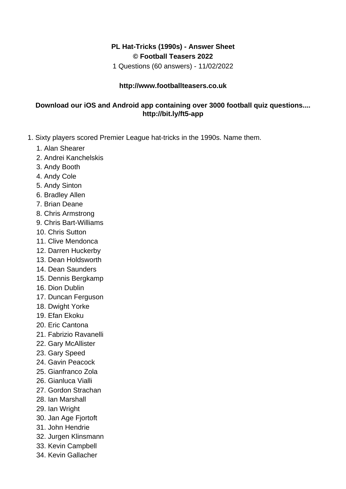## **PL Hat-Tricks (1990s) - Answer Sheet © Football Teasers 2022**

1 Questions (60 answers) - 11/02/2022

## **http://www.footballteasers.co.uk**

## **Download our iOS and Android app containing over 3000 football quiz questions.... http://bit.ly/ft5-app**

- 1. Sixty players scored Premier League hat-tricks in the 1990s. Name them.
	- 1. Alan Shearer
	- 2. Andrei Kanchelskis
	- 3. Andy Booth
	- 4. Andy Cole
	- 5. Andy Sinton
	- 6. Bradley Allen
	- 7. Brian Deane
	- 8. Chris Armstrong
	- 9. Chris Bart-Williams
	- 10. Chris Sutton
	- 11. Clive Mendonca
	- 12. Darren Huckerby
	- 13. Dean Holdsworth
	- 14. Dean Saunders
	- 15. Dennis Bergkamp
	- 16. Dion Dublin
	- 17. Duncan Ferguson
	- 18. Dwight Yorke
	- 19. Efan Ekoku
	- 20. Eric Cantona
	- 21. Fabrizio Ravanelli
	- 22. Gary McAllister
	- 23. Gary Speed
	- 24. Gavin Peacock
	- 25. Gianfranco Zola
	- 26. Gianluca Vialli
	- 27. Gordon Strachan
	- 28. Ian Marshall
	- 29. Ian Wright
	- 30. Jan Age Fjortoft
	- 31. John Hendrie
	- 32. Jurgen Klinsmann
	- 33. Kevin Campbell
	- 34. Kevin Gallacher